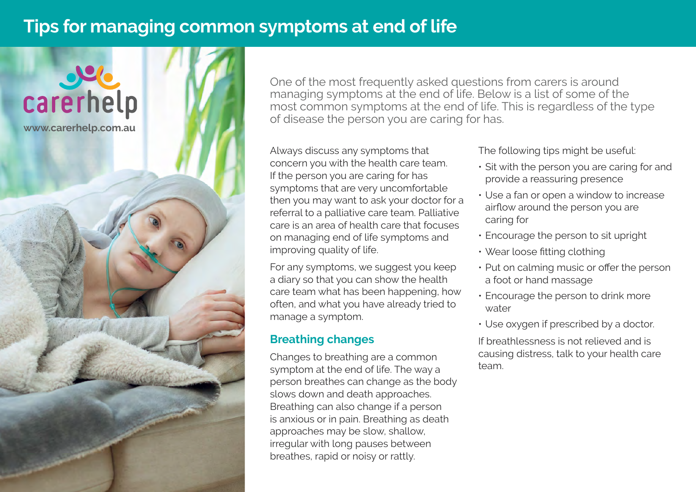# **Tips for managing common symptoms at end of life**



One of the most frequently asked questions from carers is around managing symptoms at the end of life. Below is a list of some of the most common symptoms at the end of life. This is regardless of the type of disease the person you are caring for has.

Always discuss any symptoms that concern you with the health care team. If the person you are caring for has symptoms that are very uncomfortable then you may want to ask your doctor for a referral to a palliative care team. Palliative care is an area of health care that focuses on managing end of life symptoms and improving quality of life.

For any symptoms, we suggest you keep a diary so that you can show the health care team what has been happening, how often, and what you have already tried to manage a symptom.

## **Breathing changes**

Changes to breathing are a common symptom at the end of life. The way a person breathes can change as the body slows down and death approaches. Breathing can also change if a person is anxious or in pain. Breathing as death approaches may be slow, shallow, irregular with long pauses between breathes, rapid or noisy or rattly.

The following tips might be useful:

- Sit with the person you are caring for and provide a reassuring presence
- Use a fan or open a window to increase airflow around the person you are caring for
- Encourage the person to sit upright
- Wear loose fitting clothing
- Put on calming music or offer the person a foot or hand massage
- Encourage the person to drink more water
- Use oxygen if prescribed by a doctor.

If breathlessness is not relieved and is causing distress, talk to your health care team.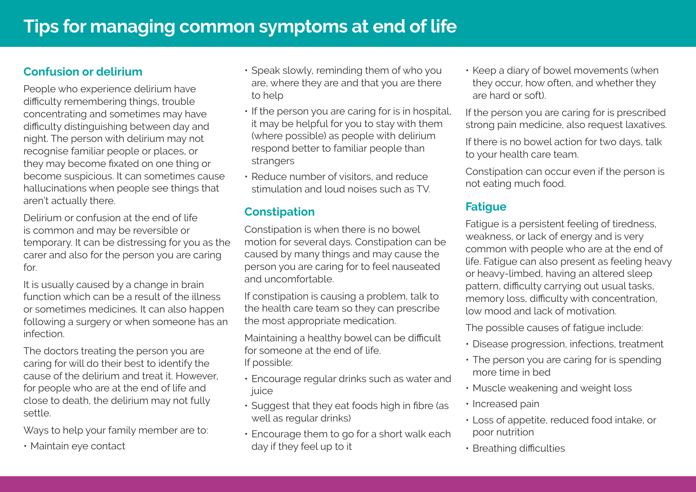## **Confusion or delirium**

People who experience delirium have difficulty remembering things, trouble concentrating and sometimes may have difficulty distinguishing between day and night. The person with delirium may not recognise familiar people or places, or they may become fixated on one thing or become suspicious. It can sometimes cause hallucinations when people see things that aren't actually there.

Delirium or confusion at the end of life is common and may be reversible or temporary. It can be distressing for you as the carer and also for the person you are caring for.

It is usually caused by a change in brain function which can be a result of the illness or sometimes medicines. It can also happen following a surgery or when someone has an infection.

The doctors treating the person you are caring for will do their best to identify the cause of the delirium and treat it. However, for people who are at the end of life and close to death, the delirium may not fully settle.

Ways to help your family member are to:

• Maintain eye contact

- Speak slowly, reminding them of who you are, where they are and that you are there to help
- If the person you are caring for is in hospital, it may be helpful for you to stay with them (where possible) as people with delirium respond better to familiar people than strangers
- Reduce number of visitors, and reduce stimulation and loud noises such as TV.

### **Constipation**

Constipation is when there is no bowel motion for several days. Constipation can be caused by many things and may cause the person you are caring for to feel nauseated and uncomfortable.

If constipation is causing a problem, talk to the health care team so they can prescribe the most appropriate medication.

Maintaining a healthy bowel can be difficult for someone at the end of life. If possible:

- Encourage regular drinks such as water and juice
- Suggest that they eat foods high in fibre (as well as regular drinks)
- Encourage them to go for a short walk each day if they feel up to it

• Keep a diary of bowel movements (when they occur, how often, and whether they are hard or soft).

If the person you are caring for is prescribed strong pain medicine, also request laxatives.

If there is no bowel action for two days, talk to your health care team.

Constipation can occur even if the person is not eating much food.

# **Fatigue**

Fatigue is a persistent feeling of tiredness, weakness, or lack of energy and is very common with people who are at the end of life. Fatigue can also present as feeling heavy or heavy-limbed, having an altered sleep pattern, difficulty carrying out usual tasks, memory loss, difficulty with concentration, low mood and lack of motivation.

The possible causes of fatigue include:

- Disease progression, infections, treatment
- The person you are caring for is spending more time in bed
- Muscle weakening and weight loss
- Increased pain
- Loss of appetite, reduced food intake, or poor nutrition
- Breathing difficulties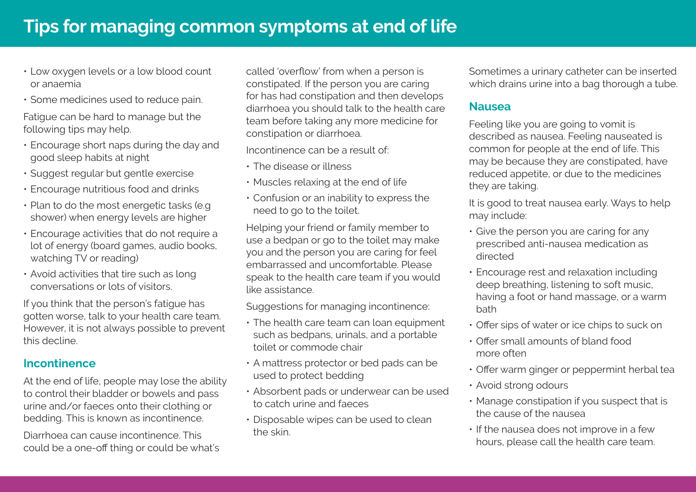- Low oxygen levels or a low blood count or anaemia
- Some medicines used to reduce pain.

Fatigue can be hard to manage but the following tips may help.

- Encourage short naps during the day and good sleep habits at night
- Suggest regular but gentle exercise
- Encourage nutritious food and drinks
- Plan to do the most energetic tasks (e.g shower) when energy levels are higher
- Encourage activities that do not require a lot of energy (board games, audio books, watching TV or reading)
- Avoid activities that tire such as long conversations or lots of visitors.

If you think that the person's fatigue has gotten worse, talk to your health care team. However, it is not always possible to prevent this decline.

#### **Incontinence**

At the end of life, people may lose the ability to control their bladder or bowels and pass urine and/or faeces onto their clothing or bedding. This is known as incontinence.

Diarrhoea can cause incontinence. This could be a one-off thing or could be what's called 'overflow' from when a person is constipated. If the person you are caring for has had constipation and then develops diarrhoea you should talk to the health care team before taking any more medicine for constipation or diarrhoea.

Incontinence can be a result of:

- The disease or illness
- Muscles relaxing at the end of life
- Confusion or an inability to express the need to go to the toilet.

Helping your friend or family member to use a bedpan or go to the toilet may make you and the person you are caring for feel embarrassed and uncomfortable. Please speak to the health care team if you would like assistance.

Suggestions for managing incontinence:

- The health care team can loan equipment such as bedpans, urinals, and a portable toilet or commode chair
- A mattress protector or bed pads can be used to protect bedding
- Absorbent pads or underwear can be used to catch urine and faeces
- Disposable wipes can be used to clean the skin.

Sometimes a urinary catheter can be inserted which drains urine into a bag thorough a tube.

#### **Nausea**

Feeling like you are going to vomit is described as nausea. Feeling nauseated is common for people at the end of life. This may be because they are constipated, have reduced appetite, or due to the medicines they are taking.

It is good to treat nausea early. Ways to help may include:

- Give the person you are caring for any prescribed anti-nausea medication as directed
- Encourage rest and relaxation including deep breathing, listening to soft music, having a foot or hand massage, or a warm bath
- Offer sips of water or ice chips to suck on
- Offer small amounts of bland food more often
- Offer warm ginger or peppermint herbal tea
- Avoid strong odours
- Manage constipation if you suspect that is the cause of the nausea
- If the nausea does not improve in a few hours, please call the health care team.